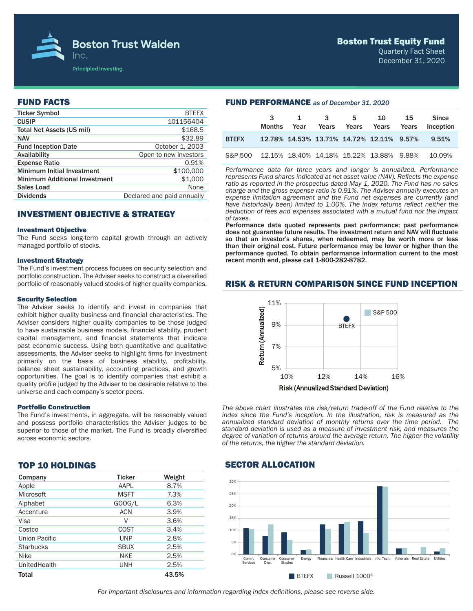

### Boston Trust Equity Fund

Quarterly Fact Sheet December 31, 2020

# FUND FACTS

| <b>Ticker Symbol</b>                 | <b>BTEFX</b>               |
|--------------------------------------|----------------------------|
| <b>CUSIP</b>                         | 101156404                  |
| Total Net Assets (US mil)            | \$168.5                    |
| <b>NAV</b>                           | \$32.89                    |
| <b>Fund Inception Date</b>           | October 1, 2003            |
| Availability                         | Open to new investors      |
| <b>Expense Ratio</b>                 | 0.91%                      |
| <b>Minimum Initial Investment</b>    | \$100,000                  |
| <b>Minimum Additional Investment</b> | \$1,000                    |
| <b>Sales Load</b>                    | None                       |
| <b>Dividends</b>                     | Declared and paid annually |
|                                      |                            |

# INVESTMENT OBJECTIVE & STRATEGY

#### Investment Objective

The Fund seeks long-term capital growth through an actively managed portfolio of stocks.

#### Investment Strategy

The Fund's investment process focuses on security selection and portfolio construction. The Adviser seeks to construct a diversified portfolio of reasonably valued stocks of higher quality companies.

#### Security Selection

The Adviser seeks to identify and invest in companies that exhibit higher quality business and financial characteristics. The Adviser considers higher quality companies to be those judged to have sustainable business models, financial stability, prudent capital management, and financial statements that indicate past economic success. Using both quantitative and qualitative assessments, the Adviser seeks to highlight firms for investment primarily on the basis of business stability, profitability, balance sheet sustainability, accounting practices, and growth opportunities. The goal is to identify companies that exhibit a quality profile judged by the Adviser to be desirable relative to the universe and each company's sector peers.

#### Portfolio Construction

The Fund's investments, in aggregate, will be reasonably valued and possess portfolio characteristics the Adviser judges to be superior to those of the market. The Fund is broadly diversified across economic sectors.

# TOP 10 HOLDINGS

| Company             | <b>Ticker</b> | Weight |
|---------------------|---------------|--------|
| Apple               | AAPL          | 8.7%   |
| Microsoft           | <b>MSFT</b>   | 7.3%   |
| Alphabet            | GOOG/L        | 6.3%   |
| Accenture           | <b>ACN</b>    | 3.9%   |
| Visa                | V             | 3.6%   |
| Costco              | COST          | 3.4%   |
| Union Pacific       | <b>UNP</b>    | 2.8%   |
| <b>Starbucks</b>    | <b>SBUX</b>   | 2.5%   |
| Nike                | <b>NKE</b>    | 2.5%   |
| <b>UnitedHealth</b> | <b>UNH</b>    | 2.5%   |
| Total               |               | 43.5%  |

| <b>FUND PERFURMANGE</b> as of December 31, 2020 |                    |                   |                                  |   |                                          |    |                           |  |
|-------------------------------------------------|--------------------|-------------------|----------------------------------|---|------------------------------------------|----|---------------------------|--|
|                                                 | 3<br><b>Months</b> | $1 \quad$<br>Year | $\overline{\mathbf{3}}$<br>Years | 5 | 10<br>Years Years Years                  | 15 | <b>Since</b><br>Inception |  |
| <b>BTEFX</b>                                    |                    |                   |                                  |   | 12.78% 14.53% 13.71% 14.72% 12.11% 9.57% |    | 9.51%                     |  |
| S&P 500                                         |                    |                   |                                  |   | 12.15% 18.40% 14.18% 15.22% 13.88% 9.88% |    | 10.09%                    |  |

*Performance data for three years and longer is annualized. Performance represents Fund shares indicated at net asset value (NAV). Reflects the expense ratio as reported in the prospectus dated May 1, 2020. The Fund has no sales charge and the gross expense ratio is 0.91%. The Adviser annually executes an expense limitation agreement and the Fund net expenses are currently (and*  have historically been) limited to 1.00%. The index returns reflect neither the *deduction of fees and expenses associated with a mutual fund nor the impact of taxes.* 

Performance data quoted represents past performance; past performance does not guarantee future results. The investment return and NAV will fluctuate so that an investor's shares, when redeemed, may be worth more or less than their original cost. Future performance may be lower or higher than the performance quoted. To obtain performance information current to the most recent month end, please call 1-800-282-8782.

## RISK & RETURN COMPARISON SINCE FUND INCEPTION



*The above chart illustrates the risk/return trade-off of the Fund relative to the index since the Fund's inception. In the illustration, risk is measured as the annualized standard deviation of monthly returns over the time period. The standard deviation is used as a measure of investment risk, and measures the degree of variation of returns around the average return. The higher the volatility of the returns, the higher the standard deviation.*

## SECTOR ALLOCATION

FUND PERFORMANCE *as of December 31, 2020*



*For important disclosures and information regarding index definitions, please see reverse side.*